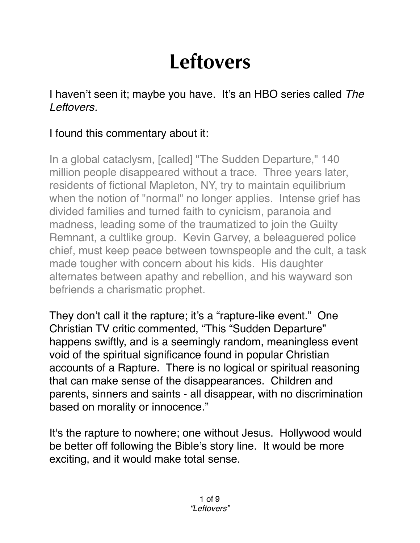## **Leftovers**

I haven't seen it; maybe you have. It's an HBO series called *The Leftovers.*

## I found this commentary about it:

In a global cataclysm, [called] "The Sudden Departure," 140 million people disappeared without a trace. Three years later, residents of fictional Mapleton, NY, try to maintain equilibrium when the notion of "normal" no longer applies. Intense grief has divided families and turned faith to cynicism, paranoia and madness, leading some of the traumatized to join the Guilty Remnant, a cultlike group. Kevin Garvey, a beleaguered police chief, must keep peace between townspeople and the cult, a task made tougher with concern about his kids. His daughter alternates between apathy and rebellion, and his wayward son befriends a charismatic prophet.

They don't call it the rapture; it's a "rapture-like event." One Christian TV critic commented, "This "Sudden Departure" happens swiftly, and is a seemingly random, meaningless event void of the spiritual significance found in popular Christian accounts of a Rapture. There is no logical or spiritual reasoning that can make sense of the disappearances. Children and parents, sinners and saints - all disappear, with no discrimination based on morality or innocence."

It's the rapture to nowhere; one without Jesus. Hollywood would be better off following the Bible's story line. It would be more exciting, and it would make total sense.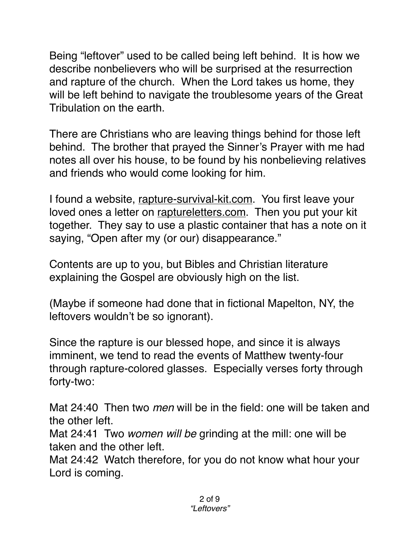Being "leftover" used to be called being left behind. It is how we describe nonbelievers who will be surprised at the resurrection and rapture of the church. When the Lord takes us home, they will be left behind to navigate the troublesome years of the Great Tribulation on the earth.

There are Christians who are leaving things behind for those left behind. The brother that prayed the Sinner's Prayer with me had notes all over his house, to be found by his nonbelieving relatives and friends who would come looking for him.

I found a website, [rapture-survival-kit.com](http://rapture-survival-kit.com). You first leave your loved ones a letter on raptur[eletters.com](http://letters.com). Then you put your kit together. They say to use a plastic container that has a note on it saying, "Open after my (or our) disappearance."

Contents are up to you, but Bibles and Christian literature explaining the Gospel are obviously high on the list.

(Maybe if someone had done that in fictional Mapelton, NY, the leftovers wouldn't be so ignorant).

Since the rapture is our blessed hope, and since it is always imminent, we tend to read the events of Matthew twenty-four through rapture-colored glasses. Especially verses forty through forty-two:

Mat 24:40 Then two *men* will be in the field: one will be taken and the other left.

Mat 24:41 Two *women will be* grinding at the mill: one will be taken and the other left.

Mat 24:42 Watch therefore, for you do not know what hour your Lord is coming.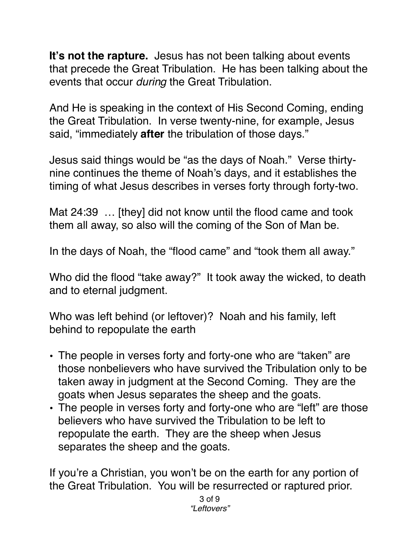**It's not the rapture.** Jesus has not been talking about events that precede the Great Tribulation. He has been talking about the events that occur *during* the Great Tribulation.

And He is speaking in the context of His Second Coming, ending the Great Tribulation. In verse twenty-nine, for example, Jesus said, "immediately **after** the tribulation of those days."

Jesus said things would be "as the days of Noah." Verse thirtynine continues the theme of Noah's days, and it establishes the timing of what Jesus describes in verses forty through forty-two.

[Mat 24:39](verseid:40.24.39) … [they] did not know until the flood came and took them all away, so also will the coming of the Son of Man be.

In the days of Noah, the "flood came" and "took them all away."

Who did the flood "take away?" It took away the wicked, to death and to eternal judgment.

Who was left behind (or leftover)? Noah and his family, left behind to repopulate the earth

- The people in verses forty and forty-one who are "taken" are those nonbelievers who have survived the Tribulation only to be taken away in judgment at the Second Coming. They are the goats when Jesus separates the sheep and the goats.
- The people in verses forty and forty-one who are "left" are those believers who have survived the Tribulation to be left to repopulate the earth. They are the sheep when Jesus separates the sheep and the goats.

If you're a Christian, you won't be on the earth for any portion of the Great Tribulation. You will be resurrected or raptured prior.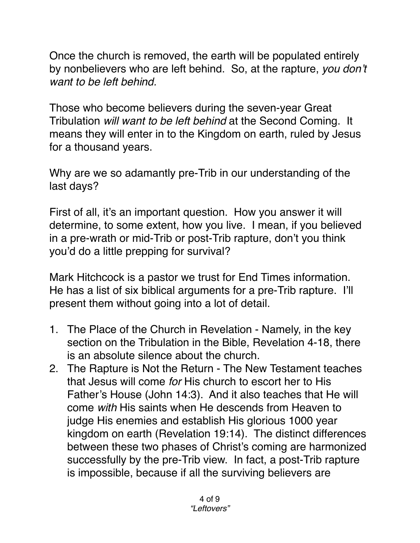Once the church is removed, the earth will be populated entirely by nonbelievers who are left behind. So, at the rapture, *you don't want to be left behind.*

Those who become believers during the seven-year Great Tribulation *will want to be left behind* at the Second Coming. It means they will enter in to the Kingdom on earth, ruled by Jesus for a thousand years.

Why are we so adamantly pre-Trib in our understanding of the last days?

First of all, it's an important question. How you answer it will determine, to some extent, how you live. I mean, if you believed in a pre-wrath or mid-Trib or post-Trib rapture, don't you think you'd do a little prepping for survival?

Mark Hitchcock is a pastor we trust for End Times information. He has a list of six biblical arguments for a pre-Trib rapture. I'll present them without going into a lot of detail.

- 1. The Place of the Church in Revelation Namely, in the key section on the Tribulation in the Bible, Revelation 4-18, there is an absolute silence about the church.
- 2. The Rapture is Not the Return The New Testament teaches that Jesus will come *for* His church to escort her to His Father's House (John 14:3). And it also teaches that He will come *with* His saints when He descends from Heaven to judge His enemies and establish His glorious 1000 year kingdom on earth (Revelation 19:14). The distinct differences between these two phases of Christ's coming are harmonized successfully by the pre-Trib view. In fact, a post-Trib rapture is impossible, because if all the surviving believers are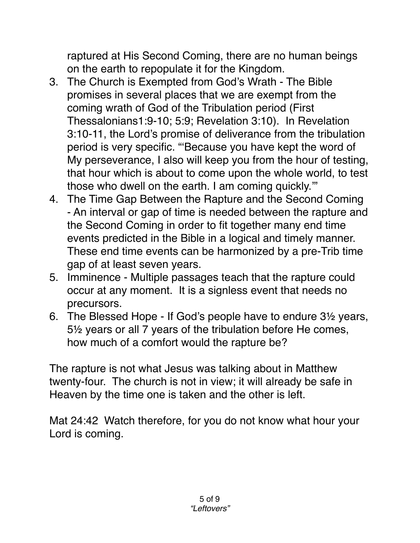raptured at His Second Coming, there are no human beings on the earth to repopulate it for the Kingdom.

- 3. The Church is Exempted from God's Wrath The Bible promises in several places that we are exempt from the coming wrath of God of the Tribulation period (First Thessalonians1:9-10; 5:9; Revelation 3:10). In Revelation 3:10-11, the Lord's promise of deliverance from the tribulation period is very specific. "'Because you have kept the word of My perseverance, I also will keep you from the hour of testing, that hour which is about to come upon the whole world, to test those who dwell on the earth. I am coming quickly.'"
- 4. The Time Gap Between the Rapture and the Second Coming - An interval or gap of time is needed between the rapture and the Second Coming in order to fit together many end time events predicted in the Bible in a logical and timely manner. These end time events can be harmonized by a pre-Trib time gap of at least seven years.
- 5. Imminence Multiple passages teach that the rapture could occur at any moment. It is a signless event that needs no precursors.
- 6. The Blessed Hope If God's people have to endure 3½ years, 5½ years or all 7 years of the tribulation before He comes, how much of a comfort would the rapture be?

The rapture is not what Jesus was talking about in Matthew twenty-four. The church is not in view; it will already be safe in Heaven by the time one is taken and the other is left.

Mat 24:42 Watch therefore, for you do not know what hour your Lord is coming.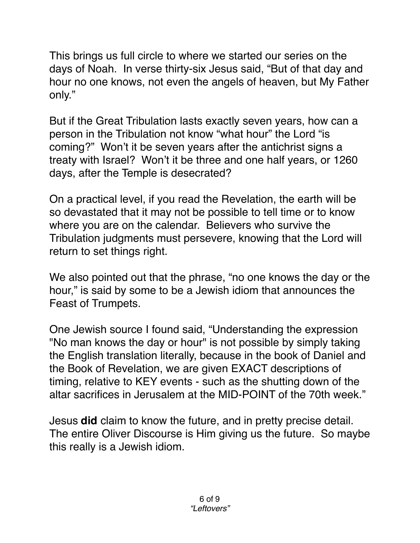This brings us full circle to where we started our series on the days of Noah. In verse thirty-six Jesus said, "But of that day and hour no one knows, not even the angels of heaven, but My Father only."

But if the Great Tribulation lasts exactly seven years, how can a person in the Tribulation not know "what hour" the Lord "is coming?" Won't it be seven years after the antichrist signs a treaty with Israel? Won't it be three and one half years, or 1260 days, after the Temple is desecrated?

On a practical level, if you read the Revelation, the earth will be so devastated that it may not be possible to tell time or to know where you are on the calendar. Believers who survive the Tribulation judgments must persevere, knowing that the Lord will return to set things right.

We also pointed out that the phrase, "no one knows the day or the hour," is said by some to be a Jewish idiom that announces the Feast of Trumpets.

One Jewish source I found said, "Understanding the expression "No man knows the day or hour" is not possible by simply taking the English translation literally, because in the book of Daniel and the Book of Revelation, we are given EXACT descriptions of timing, relative to KEY events - such as the shutting down of the altar sacrifices in Jerusalem at the MID-POINT of the 70th week."

Jesus **did** claim to know the future, and in pretty precise detail. The entire Oliver Discourse is Him giving us the future. So maybe this really is a Jewish idiom.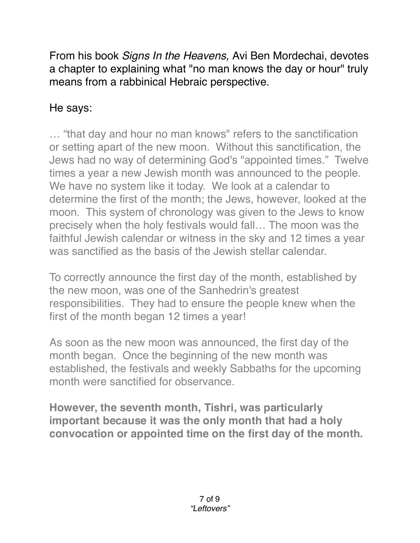From his book *Signs In the Heavens,* Avi Ben Mordechai, devotes a chapter to explaining what "no man knows the day or hour" truly means from a rabbinical Hebraic perspective.

## He says:

… "that day and hour no man knows" refers to the sanctification or setting apart of the new moon. Without this sanctification, the Jews had no way of determining God's "appointed times." Twelve times a year a new Jewish month was announced to the people. We have no system like it today. We look at a calendar to determine the first of the month; the Jews, however, looked at the moon. This system of chronology was given to the Jews to know precisely when the holy festivals would fall… The moon was the faithful Jewish calendar or witness in the sky and 12 times a year was sanctified as the basis of the Jewish stellar calendar.

To correctly announce the first day of the month, established by the new moon, was one of the Sanhedrin's greatest responsibilities. They had to ensure the people knew when the first of the month began 12 times a year!

As soon as the new moon was announced, the first day of the month began. Once the beginning of the new month was established, the festivals and weekly Sabbaths for the upcoming month were sanctified for observance.

**However, the seventh month, Tishri, was particularly important because it was the only month that had a holy convocation or appointed time on the first day of the month.**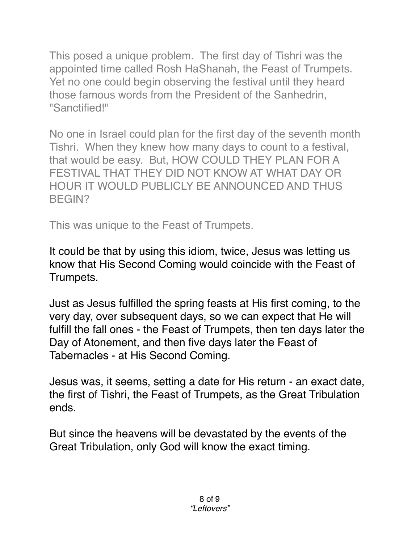This posed a unique problem. The first day of Tishri was the appointed time called Rosh HaShanah, the Feast of Trumpets. Yet no one could begin observing the festival until they heard those famous words from the President of the Sanhedrin, "Sanctified!"

No one in Israel could plan for the first day of the seventh month Tishri. When they knew how many days to count to a festival, that would be easy. But, HOW COULD THEY PLAN FOR A FESTIVAL THAT THEY DID NOT KNOW AT WHAT DAY OR HOUR IT WOULD PUBLICLY BE ANNOUNCED AND THUS BEGIN?

This was unique to the Feast of Trumpets.

It could be that by using this idiom, twice, Jesus was letting us know that His Second Coming would coincide with the Feast of Trumpets.

Just as Jesus fulfilled the spring feasts at His first coming, to the very day, over subsequent days, so we can expect that He will fulfill the fall ones - the Feast of Trumpets, then ten days later the Day of Atonement, and then five days later the Feast of Tabernacles - at His Second Coming.

Jesus was, it seems, setting a date for His return - an exact date, the first of Tishri, the Feast of Trumpets, as the Great Tribulation ends.

But since the heavens will be devastated by the events of the Great Tribulation, only God will know the exact timing.